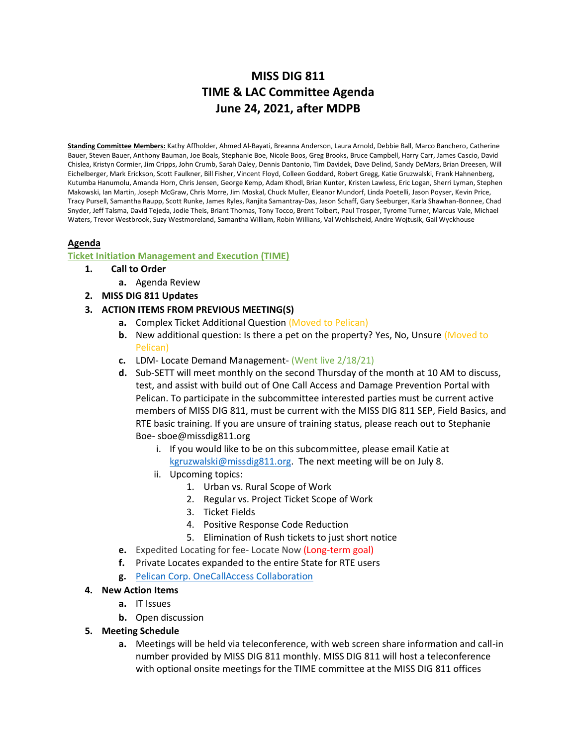# **MISS DIG 811 TIME & LAC Committee Agenda June 24, 2021, after MDPB**

**Standing Committee Members:** Kathy Affholder, Ahmed Al-Bayati, Breanna Anderson, Laura Arnold, Debbie Ball, Marco Banchero, Catherine Bauer, Steven Bauer, Anthony Bauman, Joe Boals, Stephanie Boe, Nicole Boos, Greg Brooks, Bruce Campbell, Harry Carr, James Cascio, David Chislea, Kristyn Cormier, Jim Cripps, John Crumb, Sarah Daley, Dennis Dantonio, Tim Davidek, Dave Delind, Sandy DeMars, Brian Dreesen, Will Eichelberger, Mark Erickson, Scott Faulkner, Bill Fisher, Vincent Floyd, Colleen Goddard, Robert Gregg, Katie Gruzwalski, Frank Hahnenberg, Kutumba Hanumolu, Amanda Horn, Chris Jensen, George Kemp, Adam Khodl, Brian Kunter, Kristen Lawless, Eric Logan, Sherri Lyman, Stephen Makowski, Ian Martin, Joseph McGraw, Chris Morre, Jim Moskal, Chuck Muller, Eleanor Mundorf, Linda Poetelli, Jason Poyser, Kevin Price, Tracy Pursell, Samantha Raupp, Scott Runke, James Ryles, Ranjita Samantray-Das, Jason Schaff, Gary Seeburger, Karla Shawhan-Bonnee, Chad Snyder, Jeff Talsma, David Tejeda, Jodie Theis, Briant Thomas, Tony Tocco, Brent Tolbert, Paul Trosper, Tyrome Turner, Marcus Vale, Michael Waters, Trevor Westbrook, Suzy Westmoreland, Samantha William, Robin Willians, Val Wohlscheid, Andre Wojtusik, Gail Wyckhouse

## **Agenda**

## **Ticket Initiation Management and Execution (TIME)**

#### **1. Call to Order**

- **a.** Agenda Review
- **2. MISS DIG 811 Updates**
- **3. ACTION ITEMS FROM PREVIOUS MEETING(S)**
	- **a.** Complex Ticket Additional Question (Moved to Pelican)
	- **b.** New additional question: Is there a pet on the property? Yes, No, Unsure (Moved to Pelican)
	- **c.** LDM- Locate Demand Management- (Went live 2/18/21)
	- **d.** Sub-SETT will meet monthly on the second Thursday of the month at 10 AM to discuss, test, and assist with build out of One Call Access and Damage Prevention Portal with Pelican. To participate in the subcommittee interested parties must be current active members of MISS DIG 811, must be current with the MISS DIG 811 SEP, Field Basics, and RTE basic training. If you are unsure of training status, please reach out to Stephanie Boe- sboe@missdig811.org
		- i. If you would like to be on this subcommittee, please email Katie at [kgruzwalski@missdig811.org.](mailto:kgruzwalski@missdig811.org) The next meeting will be on July 8.
		- ii. Upcoming topics:
			- 1. Urban vs. Rural Scope of Work
			- 2. Regular vs. Project Ticket Scope of Work
			- 3. Ticket Fields
			- 4. Positive Response Code Reduction
			- 5. Elimination of Rush tickets to just short notice
	- **e.** Expedited Locating for fee- Locate Now (Long-term goal)
	- **f.** Private Locates expanded to the entire State for RTE users
	- **g.** [Pelican Corp. OneCallAccess Collaboration](https://pelicancorp.com/us/news/industry-news/18-industry-news/industry-news-us/249-pelicancorp-and-miss-dig-system-inc-partner-to-strengthen-notification-services)
- **4. New Action Items**
	- **a.** IT Issues
	- **b.** Open discussion
- **5. Meeting Schedule**
	- **a.** Meetings will be held via teleconference, with web screen share information and call-in number provided by MISS DIG 811 monthly. MISS DIG 811 will host a teleconference with optional onsite meetings for the TIME committee at the MISS DIG 811 offices